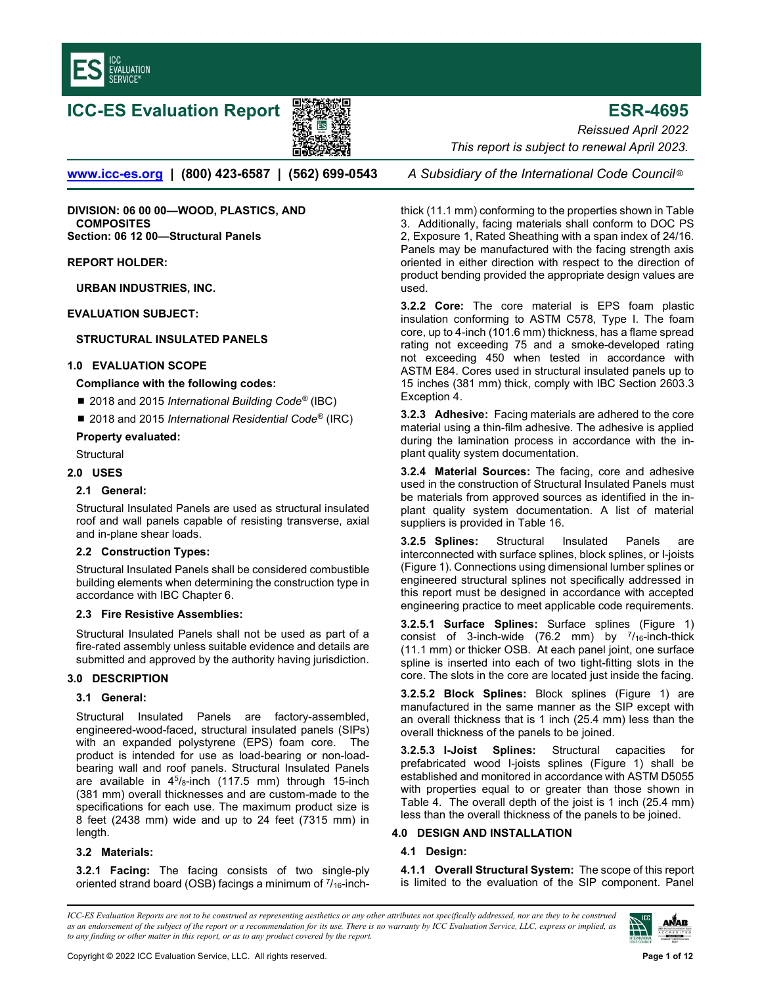

# **ICC-ES Evaluation Report 影響機 http://www.filesco.com/information details.com/information details.com/information**



www.icc-es.org | (800) 423-6587 | (562) 699-0543 A Subsidiary of the International Code Council<sup>®</sup>

DIVISION: 06 00 00—WOOD, PLASTICS, AND **COMPOSITES** Section: 06 12 00—Structural Panels

#### REPORT HOLDER:

URBAN INDUSTRIES, INC.

EVALUATION SUBJECT:

# STRUCTURAL INSULATED PANELS

## 1.0 EVALUATION SCOPE

## Compliance with the following codes:

- 2018 and 2015 International Building Code® (IBC)
- 2018 and 2015 International Residential Code<sup>®</sup> (IRC)

## Property evaluated:

**Structural** 

# 2.0 USES

## 2.1 General:

Structural Insulated Panels are used as structural insulated roof and wall panels capable of resisting transverse, axial and in-plane shear loads.

# 2.2 Construction Types:

Structural Insulated Panels shall be considered combustible building elements when determining the construction type in accordance with IBC Chapter 6.

#### 2.3 Fire Resistive Assemblies:

Structural Insulated Panels shall not be used as part of a fire-rated assembly unless suitable evidence and details are submitted and approved by the authority having jurisdiction.

# 3.0 DESCRIPTION

## 3.1 General:

Structural Insulated Panels are factory-assembled, engineered-wood-faced, structural insulated panels (SIPs) with an expanded polystyrene (EPS) foam core. The product is intended for use as load-bearing or non-loadbearing wall and roof panels. Structural Insulated Panels are available in  $4^5$ / $8$ -inch (117.5 mm) through 15-inch (381 mm) overall thicknesses and are custom-made to the specifications for each use. The maximum product size is 8 feet (2438 mm) wide and up to 24 feet (7315 mm) in length.

# 3.2 Materials:

3.2.1 Facing: The facing consists of two single-ply oriented strand board (OSB) facings a minimum of  $\frac{7}{16}$ -inch-

Reissued April 2022 This report is subject to renewal April 2023.

thick (11.1 mm) conforming to the properties shown in Table 3. Additionally, facing materials shall conform to DOC PS 2, Exposure 1, Rated Sheathing with a span index of 24/16. Panels may be manufactured with the facing strength axis oriented in either direction with respect to the direction of product bending provided the appropriate design values are used.

3.2.2 Core: The core material is EPS foam plastic insulation conforming to ASTM C578, Type I. The foam core, up to 4-inch (101.6 mm) thickness, has a flame spread rating not exceeding 75 and a smoke-developed rating not exceeding 450 when tested in accordance with ASTM E84. Cores used in structural insulated panels up to 15 inches (381 mm) thick, comply with IBC Section 2603.3 Exception 4.

**3.2.3 Adhesive:** Facing materials are adhered to the core material using a thin-film adhesive. The adhesive is applied during the lamination process in accordance with the inplant quality system documentation.

3.2.4 Material Sources: The facing, core and adhesive used in the construction of Structural Insulated Panels must be materials from approved sources as identified in the inplant quality system documentation. A list of material suppliers is provided in Table 16.

3.2.5 Splines: Structural Insulated Panels are interconnected with surface splines, block splines, or I-joists (Figure 1). Connections using dimensional lumber splines or engineered structural splines not specifically addressed in this report must be designed in accordance with accepted engineering practice to meet applicable code requirements.

3.2.5.1 Surface Splines: Surface splines (Figure 1) consist of 3-inch-wide (76.2 mm) by  $\frac{7}{16}$ -inch-thick (11.1 mm) or thicker OSB. At each panel joint, one surface spline is inserted into each of two tight-fitting slots in the core. The slots in the core are located just inside the facing.

3.2.5.2 Block Splines: Block splines (Figure 1) are manufactured in the same manner as the SIP except with an overall thickness that is 1 inch (25.4 mm) less than the overall thickness of the panels to be joined.

3.2.5.3 I-Joist Splines: Structural capacities for prefabricated wood I-joists splines (Figure 1) shall be established and monitored in accordance with ASTM D5055 with properties equal to or greater than those shown in Table 4. The overall depth of the joist is 1 inch (25.4 mm) less than the overall thickness of the panels to be joined.

# 4.0 DESIGN AND INSTALLATION

# 4.1 Design:

4.1.1 Overall Structural System: The scope of this report is limited to the evaluation of the SIP component. Panel

ICC-ES Evaluation Reports are not to be construed as representing aesthetics or any other attributes not specifically addressed, nor are they to be construed as an endorsement of the subject of the report or a recommendation for its use. There is no warranty by ICC Evaluation Service, LLC, express or implied, as to any finding or other matter in this report, or as to any product covered by the report.

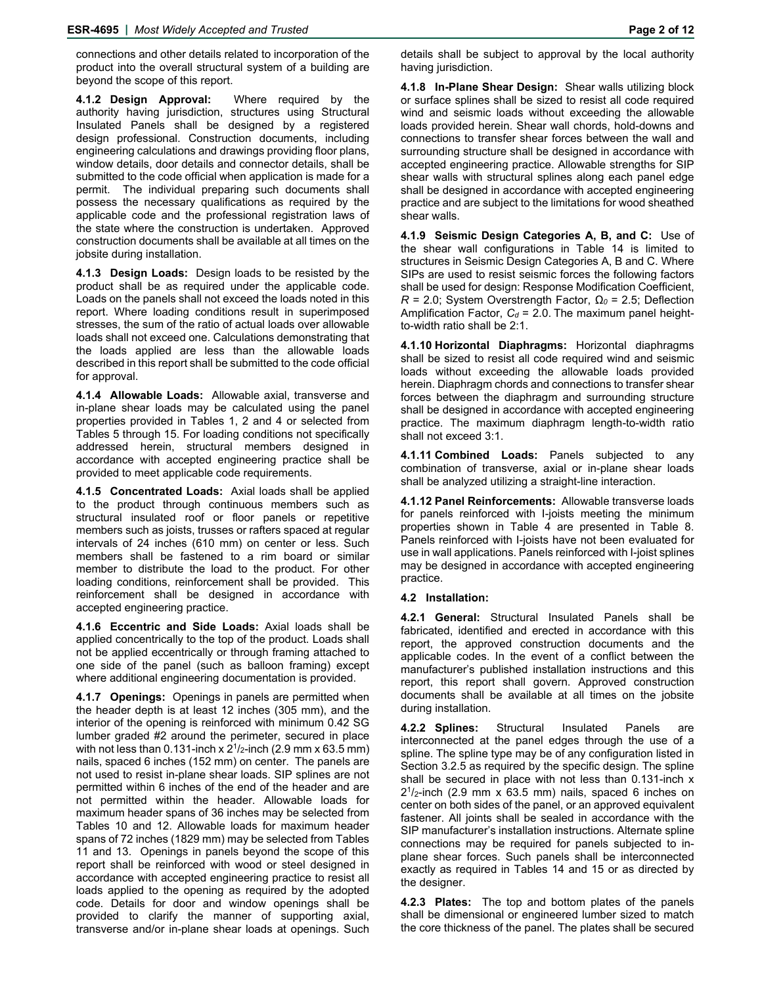connections and other details related to incorporation of the product into the overall structural system of a building are beyond the scope of this report.

**4.1.2 Design Approval:** Where required by the authority having jurisdiction, structures using Structural Insulated Panels shall be designed by a registered design professional. Construction documents, including engineering calculations and drawings providing floor plans, window details, door details and connector details, shall be submitted to the code official when application is made for a permit. The individual preparing such documents shall possess the necessary qualifications as required by the applicable code and the professional registration laws of the state where the construction is undertaken. Approved construction documents shall be available at all times on the jobsite during installation.

**4.1.3 Design Loads:** Design loads to be resisted by the product shall be as required under the applicable code. Loads on the panels shall not exceed the loads noted in this report. Where loading conditions result in superimposed stresses, the sum of the ratio of actual loads over allowable loads shall not exceed one. Calculations demonstrating that the loads applied are less than the allowable loads described in this report shall be submitted to the code official for approval.

**4.1.4 Allowable Loads:** Allowable axial, transverse and in-plane shear loads may be calculated using the panel properties provided in Tables 1, 2 and 4 or selected from Tables 5 through 15. For loading conditions not specifically addressed herein, structural members designed in accordance with accepted engineering practice shall be provided to meet applicable code requirements.

**4.1.5 Concentrated Loads:** Axial loads shall be applied to the product through continuous members such as structural insulated roof or floor panels or repetitive members such as joists, trusses or rafters spaced at regular intervals of 24 inches (610 mm) on center or less. Such members shall be fastened to a rim board or similar member to distribute the load to the product. For other loading conditions, reinforcement shall be provided. This reinforcement shall be designed in accordance with accepted engineering practice.

**4.1.6 Eccentric and Side Loads:** Axial loads shall be applied concentrically to the top of the product. Loads shall not be applied eccentrically or through framing attached to one side of the panel (such as balloon framing) except where additional engineering documentation is provided.

**4.1.7 Openings:** Openings in panels are permitted when the header depth is at least 12 inches (305 mm), and the interior of the opening is reinforced with minimum 0.42 SG lumber graded #2 around the perimeter, secured in place with not less than 0.131-inch x  $2^{1}/2$ -inch (2.9 mm x 63.5 mm) nails, spaced 6 inches (152 mm) on center. The panels are not used to resist in-plane shear loads. SIP splines are not permitted within 6 inches of the end of the header and are not permitted within the header. Allowable loads for maximum header spans of 36 inches may be selected from Tables 10 and 12. Allowable loads for maximum header spans of 72 inches (1829 mm) may be selected from Tables 11 and 13. Openings in panels beyond the scope of this report shall be reinforced with wood or steel designed in accordance with accepted engineering practice to resist all loads applied to the opening as required by the adopted code. Details for door and window openings shall be provided to clarify the manner of supporting axial, transverse and/or in-plane shear loads at openings. Such

**4.1.8 In-Plane Shear Design:** Shear walls utilizing block or surface splines shall be sized to resist all code required wind and seismic loads without exceeding the allowable loads provided herein. Shear wall chords, hold-downs and connections to transfer shear forces between the wall and surrounding structure shall be designed in accordance with accepted engineering practice. Allowable strengths for SIP shear walls with structural splines along each panel edge shall be designed in accordance with accepted engineering practice and are subject to the limitations for wood sheathed shear walls.

**4.1.9 Seismic Design Categories A, B, and C:** Use of the shear wall configurations in Table 14 is limited to structures in Seismic Design Categories A, B and C. Where SIPs are used to resist seismic forces the following factors shall be used for design: Response Modification Coefficient, *R* = 2.0; System Overstrength Factor, *Ω0* = 2.5; Deflection Amplification Factor,  $C_d = 2.0$ . The maximum panel heightto-width ratio shall be 2:1.

**4.1.10 Horizontal Diaphragms:** Horizontal diaphragms shall be sized to resist all code required wind and seismic loads without exceeding the allowable loads provided herein. Diaphragm chords and connections to transfer shear forces between the diaphragm and surrounding structure shall be designed in accordance with accepted engineering practice. The maximum diaphragm length-to-width ratio shall not exceed 3:1.

**4.1.11 Combined Loads:** Panels subjected to any combination of transverse, axial or in-plane shear loads shall be analyzed utilizing a straight-line interaction.

**4.1.12 Panel Reinforcements:** Allowable transverse loads for panels reinforced with I-joists meeting the minimum properties shown in Table 4 are presented in Table 8. Panels reinforced with I-joists have not been evaluated for use in wall applications. Panels reinforced with I-joist splines may be designed in accordance with accepted engineering practice.

#### **4.2 Installation:**

**4.2.1 General:** Structural Insulated Panels shall be fabricated, identified and erected in accordance with this report, the approved construction documents and the applicable codes. In the event of a conflict between the manufacturer's published installation instructions and this report, this report shall govern. Approved construction documents shall be available at all times on the jobsite during installation.

**4.2.2 Splines:** Structural Insulated Panels are interconnected at the panel edges through the use of a spline. The spline type may be of any configuration listed in Section 3.2.5 as required by the specific design. The spline shall be secured in place with not less than 0.131-inch x  $2^{1}/2$ -inch (2.9 mm x 63.5 mm) nails, spaced 6 inches on center on both sides of the panel, or an approved equivalent fastener. All joints shall be sealed in accordance with the SIP manufacturer's installation instructions. Alternate spline connections may be required for panels subjected to inplane shear forces. Such panels shall be interconnected exactly as required in Tables 14 and 15 or as directed by the designer.

**4.2.3 Plates:** The top and bottom plates of the panels shall be dimensional or engineered lumber sized to match the core thickness of the panel. The plates shall be secured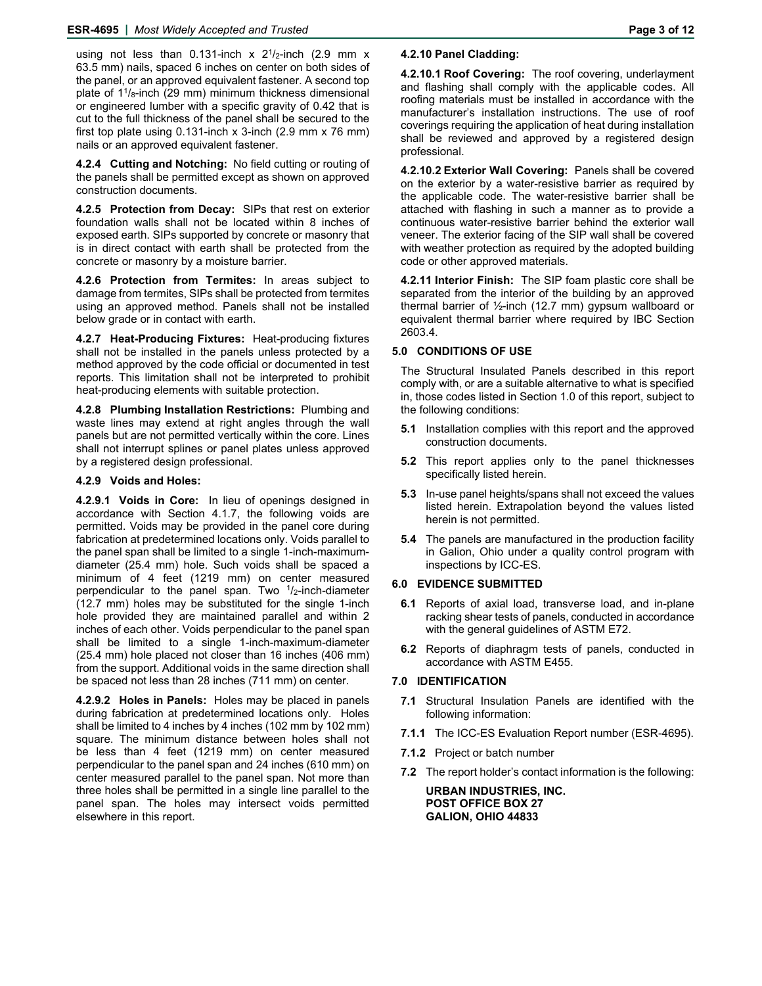using not less than 0.131-inch x  $2^{1}/2$ -inch (2.9 mm x 63.5 mm) nails, spaced 6 inches on center on both sides of the panel, or an approved equivalent fastener. A second top plate of  $1\frac{1}{8}$ -inch (29 mm) minimum thickness dimensional or engineered lumber with a specific gravity of 0.42 that is cut to the full thickness of the panel shall be secured to the first top plate using  $0.131$ -inch x 3-inch  $(2.9 \text{ mm} \times 76 \text{ mm})$ nails or an approved equivalent fastener.

**4.2.4 Cutting and Notching:** No field cutting or routing of the panels shall be permitted except as shown on approved construction documents.

**4.2.5 Protection from Decay:** SIPs that rest on exterior foundation walls shall not be located within 8 inches of exposed earth. SIPs supported by concrete or masonry that is in direct contact with earth shall be protected from the concrete or masonry by a moisture barrier.

**4.2.6 Protection from Termites:** In areas subject to damage from termites, SIPs shall be protected from termites using an approved method. Panels shall not be installed below grade or in contact with earth.

**4.2.7 Heat-Producing Fixtures:** Heat-producing fixtures shall not be installed in the panels unless protected by a method approved by the code official or documented in test reports. This limitation shall not be interpreted to prohibit heat-producing elements with suitable protection.

**4.2.8 Plumbing Installation Restrictions:** Plumbing and waste lines may extend at right angles through the wall panels but are not permitted vertically within the core. Lines shall not interrupt splines or panel plates unless approved by a registered design professional.

#### **4.2.9 Voids and Holes:**

**4.2.9.1 Voids in Core:** In lieu of openings designed in accordance with Section 4.1.7, the following voids are permitted. Voids may be provided in the panel core during fabrication at predetermined locations only. Voids parallel to the panel span shall be limited to a single 1-inch-maximumdiameter (25.4 mm) hole. Such voids shall be spaced a minimum of 4 feet (1219 mm) on center measured perpendicular to the panel span. Two  $1/2$ -inch-diameter (12.7 mm) holes may be substituted for the single 1-inch hole provided they are maintained parallel and within 2 inches of each other. Voids perpendicular to the panel span shall be limited to a single 1-inch-maximum-diameter (25.4 mm) hole placed not closer than 16 inches (406 mm) from the support. Additional voids in the same direction shall be spaced not less than 28 inches (711 mm) on center.

**4.2.9.2 Holes in Panels:** Holes may be placed in panels during fabrication at predetermined locations only. Holes shall be limited to 4 inches by 4 inches (102 mm by 102 mm) square. The minimum distance between holes shall not be less than 4 feet (1219 mm) on center measured perpendicular to the panel span and 24 inches (610 mm) on center measured parallel to the panel span. Not more than three holes shall be permitted in a single line parallel to the panel span. The holes may intersect voids permitted elsewhere in this report.

#### **4.2.10 Panel Cladding:**

**4.2.10.1 Roof Covering:** The roof covering, underlayment and flashing shall comply with the applicable codes. All roofing materials must be installed in accordance with the manufacturer's installation instructions. The use of roof coverings requiring the application of heat during installation shall be reviewed and approved by a registered design professional.

**4.2.10.2 Exterior Wall Covering:** Panels shall be covered on the exterior by a water-resistive barrier as required by the applicable code. The water-resistive barrier shall be attached with flashing in such a manner as to provide a continuous water-resistive barrier behind the exterior wall veneer. The exterior facing of the SIP wall shall be covered with weather protection as required by the adopted building code or other approved materials.

**4.2.11 Interior Finish:** The SIP foam plastic core shall be separated from the interior of the building by an approved thermal barrier of ½-inch (12.7 mm) gypsum wallboard or equivalent thermal barrier where required by IBC Section 2603.4.

#### **5.0 CONDITIONS OF USE**

The Structural Insulated Panels described in this report comply with, or are a suitable alternative to what is specified in, those codes listed in Section 1.0 of this report, subject to the following conditions:

- **5.1** Installation complies with this report and the approved construction documents.
- **5.2** This report applies only to the panel thicknesses specifically listed herein.
- **5.3** In-use panel heights/spans shall not exceed the values listed herein. Extrapolation beyond the values listed herein is not permitted.
- **5.4** The panels are manufactured in the production facility in Galion, Ohio under a quality control program with inspections by ICC-ES.

#### **6.0 EVIDENCE SUBMITTED**

- **6.1** Reports of axial load, transverse load, and in-plane racking shear tests of panels, conducted in accordance with the general guidelines of ASTM E72.
- **6.2** Reports of diaphragm tests of panels, conducted in accordance with ASTM E455.

#### **7.0 IDENTIFICATION**

- **7.1** Structural Insulation Panels are identified with the following information:
- **7.1.1** The ICC-ES Evaluation Report number (ESR-4695).
- **7.1.2** Project or batch number
- **7.2** The report holder's contact information is the following:

**URBAN INDUSTRIES, INC. POST OFFICE BOX 27 GALION, OHIO 44833**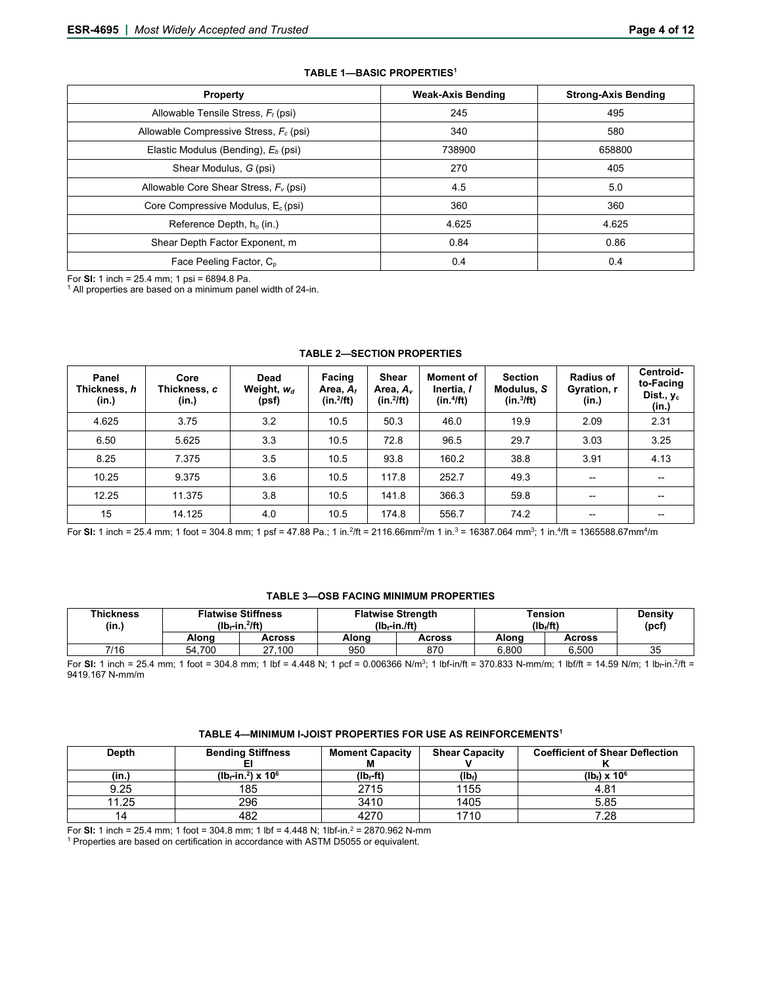| <b>Property</b>                                    | <b>Weak-Axis Bending</b> | <b>Strong-Axis Bending</b> |
|----------------------------------------------------|--------------------------|----------------------------|
| Allowable Tensile Stress, $F_t$ (psi)              | 245                      | 495                        |
| Allowable Compressive Stress, F <sub>c</sub> (psi) | 340                      | 580                        |
| Elastic Modulus (Bending), $E_b$ (psi)             | 738900                   | 658800                     |
| Shear Modulus, G (psi)                             | 270                      | 405                        |
| Allowable Core Shear Stress, $F_v$ (psi)           | 4.5                      | 5.0                        |
| Core Compressive Modulus, $E_c$ (psi)              | 360                      | 360                        |
| Reference Depth, h <sub>o</sub> (in.)              | 4.625                    | 4.625                      |
| Shear Depth Factor Exponent, m                     | 0.84                     | 0.86                       |
| Face Peeling Factor, C <sub>p</sub>                | 0.4                      | 0.4                        |

#### **TABLE 1—BASIC PROPERTIES1**

For **SI:** 1 inch = 25.4 mm; 1 psi = 6894.8 Pa.<br><sup>1</sup> All properties are based on a minimum panel width of 24-in.

| Panel<br>Thickness, h<br>(in.) | Core<br>Thickness, <i>c</i><br>(in.) | Dead<br>Weight, $w_d$<br>(psf) | <b>Facing</b><br>Area, $A_t$<br>$(in.^2$ ft) | <b>Shear</b><br>Area, $A_{\nu}$<br>$(in.^2/ft)$ | Moment of<br>Inertia, I<br>$(in.^4$ ft) | <b>Section</b><br>Modulus, S<br>$(in.^3/ft)$ | <b>Radius of</b><br>Gyration, r<br>(in.) | Centroid-<br>to-Facing<br>Dist., $v_c$<br>(in.) |
|--------------------------------|--------------------------------------|--------------------------------|----------------------------------------------|-------------------------------------------------|-----------------------------------------|----------------------------------------------|------------------------------------------|-------------------------------------------------|
| 4.625                          | 3.75                                 | 3.2                            | 10.5                                         | 50.3                                            | 46.0                                    | 19.9                                         | 2.09                                     | 2.31                                            |
| 6.50                           | 5.625                                | 3.3                            | 10.5                                         | 72.8                                            | 96.5                                    | 29.7                                         | 3.03                                     | 3.25                                            |
| 8.25                           | 7.375                                | 3.5                            | 10.5                                         | 93.8                                            | 160.2                                   | 38.8                                         | 3.91                                     | 4.13                                            |
| 10.25                          | 9.375                                | 3.6                            | 10.5                                         | 117.8                                           | 252.7                                   | 49.3                                         | $\overline{\phantom{a}}$                 | $\overline{\phantom{m}}$                        |
| 12.25                          | 11.375                               | 3.8                            | 10.5                                         | 141.8                                           | 366.3                                   | 59.8                                         | $- -$                                    | $- -$                                           |
| 15                             | 14.125                               | 4.0                            | 10.5                                         | 174.8                                           | 556.7                                   | 74.2                                         | $\overline{\phantom{a}}$                 | --                                              |

#### **TABLE 2—SECTION PROPERTIES**

For **SI:** 1 inch = 25.4 mm; 1 foot = 304.8 mm; 1 psf = 47.88 Pa.; 1 in.2/ft = 2116.66mm2/m 1 in.3 = 16387.064 mm3; 1 in.4/ft = 1365588.67mm4/m

# **TABLE 3—OSB FACING MINIMUM PROPERTIES**

| <b>Thickness</b><br>(in.) | <b>Flatwise Stiffness</b><br>$(lb_f$ -in. $^2$ ft) |        |       | <b>Flatwise Strength</b><br>$(Ib_f-in./ft)$ | Tension<br>$(Ib_i/ft)$ | <b>Density</b><br>(pcf |    |
|---------------------------|----------------------------------------------------|--------|-------|---------------------------------------------|------------------------|------------------------|----|
|                           | Alona                                              | Across | Alona | Across                                      | Alona                  | <b>Across</b>          |    |
| 7/16                      | 54.700                                             | 27.100 | 950   | 870                                         | 6.800                  | 6.500                  | 35 |

For SI: 1 inch = 25.4 mm; 1 foot = 304.8 mm; 1 lbf = 4.448 N; 1 pcf = 0.006366 N/m<sup>3</sup>; 1 lbf-in/ft = 370.833 N-mm/m; 1 lbf/ft = 14.59 N/m; 1 lb<sub>f</sub>-in.<sup>2</sup>/ft = 9419.167 N-mm/m

| <b>Depth</b> | <b>Bending Stiffness</b>                      | <b>Moment Capacity</b> | <b>Shear Capacity</b> | <b>Coefficient of Shear Deflection</b> |
|--------------|-----------------------------------------------|------------------------|-----------------------|----------------------------------------|
|              |                                               |                        |                       |                                        |
| (in.)        | ( $10f$ -in. <sup>2</sup> ) x 10 <sup>6</sup> | (lb <sub>f</sub> -ft)  | (Ib)                  | $(lb) \times 10^6$                     |
| 9.25         | 185                                           | 2715                   | 1155                  | 4.81                                   |
| 11.25        | 296                                           | 3410                   | 1405                  | 5.85                                   |
| 14           | 482                                           | 4270                   | 1710                  | 7.28                                   |

For **SI:** 1 inch = 25.4 mm; 1 foot = 304.8 mm; 1 lbf = 4.448 N; 1lbf-in.<sup>2</sup> = 2870.962 N-mm <sup>1</sup> Properties are based on certification in accordance with ASTM D5055 or equivalent.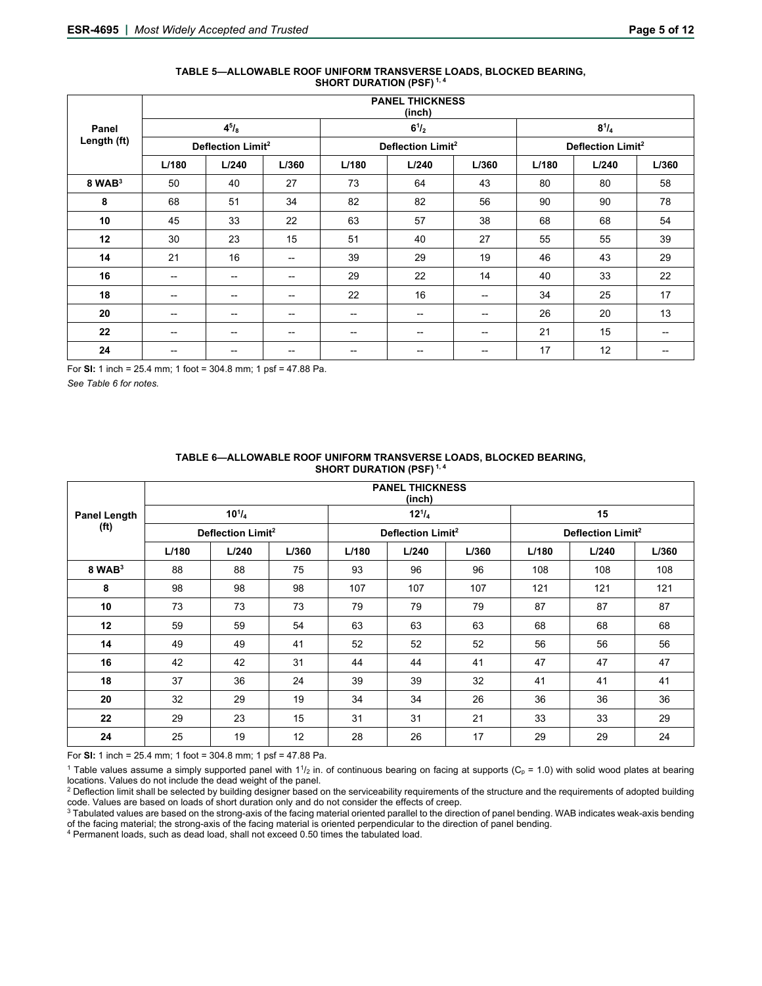| TABLE 5-ALLOWABLE ROOF UNIFORM TRANSVERSE LOADS, BLOCKED BEARING, |
|-------------------------------------------------------------------|
| <b>SHORT DURATION (PSF)</b> <sup>1, 4</sup>                       |

|             | <b>PANEL THICKNESS</b><br>(inch) |                               |                   |                          |                               |                   |       |                               |       |  |  |
|-------------|----------------------------------|-------------------------------|-------------------|--------------------------|-------------------------------|-------------------|-------|-------------------------------|-------|--|--|
| Panel       |                                  | $4^{5}/_{8}$                  |                   |                          | $6^{1}/_{2}$                  |                   |       | $8^{1}/_{4}$                  |       |  |  |
| Length (ft) |                                  | Deflection Limit <sup>2</sup> |                   |                          | Deflection Limit <sup>2</sup> |                   |       | Deflection Limit <sup>2</sup> |       |  |  |
|             | L/180                            | L/240                         | L/360             | L/180                    | L/240                         | L/360             | L/180 | L/240                         | L/360 |  |  |
| $8$ WAB $3$ | 50                               | 40                            | 27                | 73                       | 64                            | 43                | 80    | 80                            | 58    |  |  |
| 8           | 68                               | 51                            | 34                | 82                       | 82                            | 56                | 90    | 90                            | 78    |  |  |
| 10          | 45                               | 33                            | 22                | 63                       | 57                            | 38                | 68    | 68                            | 54    |  |  |
| 12          | 30                               | 23                            | 15                | 51                       | 40                            | 27                | 55    | 55                            | 39    |  |  |
| 14          | 21                               | 16                            | $\hspace{0.05cm}$ | 39                       | 29                            | 19                | 46    | 43                            | 29    |  |  |
| 16          | --                               | $\hspace{0.05cm}$ –           | --                | 29                       | 22                            | 14                | 40    | 33                            | 22    |  |  |
| 18          | $-$                              | --                            | --                | 22                       | 16                            | $- -$             | 34    | 25                            | 17    |  |  |
| 20          | $\hspace{0.05cm}$                | $- -$                         | --                | --                       | --                            | $-$               | 26    | 20                            | 13    |  |  |
| 22          | $\overline{\phantom{a}}$         | $\overline{\phantom{a}}$      | --                | $\overline{\phantom{a}}$ | --                            | $- -$             | 21    | 15                            | $- -$ |  |  |
| 24          | $\overline{\phantom{a}}$         | --                            | --                | --                       | --                            | $\hspace{0.05cm}$ | 17    | 12                            | --    |  |  |

For **SI:** 1 inch = 25.4 mm; 1 foot = 304.8 mm; 1 psf = 47.88 Pa.

*See Table 6 for notes.* 

|                     | <b>PANEL THICKNESS</b><br>(inch) |                               |       |       |                               |       |       |                               |       |  |
|---------------------|----------------------------------|-------------------------------|-------|-------|-------------------------------|-------|-------|-------------------------------|-------|--|
| <b>Panel Length</b> |                                  | $10^{1}/_{4}$                 |       |       | $12^{1}/_{4}$                 |       |       | 15                            |       |  |
| (f <sup>t</sup> )   |                                  | Deflection Limit <sup>2</sup> |       |       | Deflection Limit <sup>2</sup> |       |       | Deflection Limit <sup>2</sup> |       |  |
|                     | L/180                            | L/240                         | L/360 | L/180 | L/240                         | L/360 | L/180 | L/240                         | L/360 |  |
| $8$ WAB $3$         | 88                               | 88                            | 75    | 93    | 96                            | 96    | 108   | 108                           | 108   |  |
| 8                   | 98                               | 98                            | 98    | 107   | 107                           | 107   | 121   | 121                           | 121   |  |
| 10                  | 73                               | 73                            | 73    | 79    | 79                            | 79    | 87    | 87                            | 87    |  |
| 12                  | 59                               | 59                            | 54    | 63    | 63                            | 63    | 68    | 68                            | 68    |  |
| 14                  | 49                               | 49                            | 41    | 52    | 52                            | 52    | 56    | 56                            | 56    |  |
| 16                  | 42                               | 42                            | 31    | 44    | 44                            | 41    | 47    | 47                            | 47    |  |
| 18                  | 37                               | 36                            | 24    | 39    | 39                            | 32    | 41    | 41                            | 41    |  |
| 20                  | 32                               | 29                            | 19    | 34    | 34                            | 26    | 36    | 36                            | 36    |  |
| 22                  | 29                               | 23                            | 15    | 31    | 31                            | 21    | 33    | 33                            | 29    |  |
| 24                  | 25                               | 19                            | 12    | 28    | 26                            | 17    | 29    | 29                            | 24    |  |

#### **TABLE 6—ALLOWABLE ROOF UNIFORM TRANSVERSE LOADS, BLOCKED BEARING, SHORT DURATION (PSF)<sup>1,4</sup>**

For **SI:** 1 inch = 25.4 mm; 1 foot = 304.8 mm; 1 psf = 47.88 Pa.

<sup>1</sup> Table values assume a simply supported panel with  $1\frac{1}{2}$  in. of continuous bearing on facing at supports (C<sub>p</sub> = 1.0) with solid wood plates at bearing locations. Values do not include the dead weight of the panel.

<sup>2</sup> Deflection limit shall be selected by building designer based on the serviceability requirements of the structure and the requirements of adopted building code. Values are based on loads of short duration only and do n

<sup>3</sup> Tabulated values are based on the strong-axis of the facing material oriented parallel to the direction of panel bending. WAB indicates weak-axis bending of the facing material; the strong-axis of the facing material is oriented perpendicular to the direction of panel bending. 4 Permanent loads, such as dead load, shall not exceed 0.50 times the tabulated load.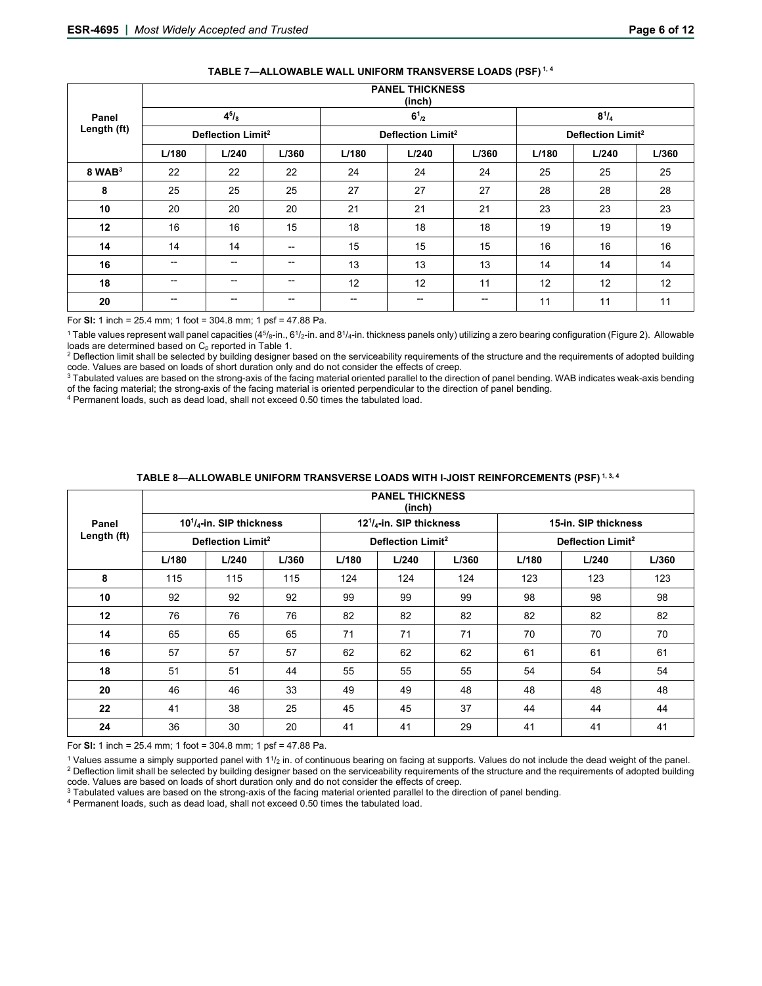| Panel       |                          | $4^{5}/_{8}$                  |                          |                               | $6^{1}_{2}$ |       |       | $8^{1}/_{4}$                  |       |
|-------------|--------------------------|-------------------------------|--------------------------|-------------------------------|-------------|-------|-------|-------------------------------|-------|
| Length (ft) |                          | Deflection Limit <sup>2</sup> |                          | Deflection Limit <sup>2</sup> |             |       |       | Deflection Limit <sup>2</sup> |       |
|             | L/180                    | L/240                         | L/360                    | L/180                         | L/240       | L/360 | L/180 | L/240                         | L/360 |
| $8$ WAB $3$ | 22                       | 22                            | 22                       | 24                            | 24          | 24    | 25    | 25                            | 25    |
| 8           | 25                       | 25                            | 25                       | 27                            | 27          | 27    | 28    | 28                            | 28    |
| 10          | 20                       | 20                            | 20                       | 21                            | 21          | 21    | 23    | 23                            | 23    |
| 12          | 16                       | 16                            | 15                       | 18                            | 18          | 18    | 19    | 19                            | 19    |
| 14          | 14                       | 14                            | $\hspace{0.05cm}$        | 15                            | 15          | 15    | 16    | 16                            | 16    |
| 16          | $- -$                    | $\hspace{0.05cm}$ –           | $\overline{\phantom{a}}$ | 13                            | 13          | 13    | 14    | 14                            | 14    |
| 18          | $\overline{\phantom{a}}$ | $\hspace{0.05cm}$ –           | $\overline{\phantom{a}}$ | 12                            | 12          | 11    | 12    | 12                            | 12    |
| 20          | $\overline{\phantom{a}}$ | $- -$                         | $\overline{\phantom{a}}$ | $\hspace{0.05cm}$ –           | --          | --    | 11    | 11                            | 11    |

## **TABLE 7—ALLOWABLE WALL UNIFORM TRANSVERSE LOADS (PSF) 1, 4**

**PANEL THICKNESS** 

For **SI:** 1 inch = 25.4 mm; 1 foot = 304.8 mm; 1 psf = 47.88 Pa.

<sup>1</sup> Table values represent wall panel capacities (4<sup>5</sup>/8-in., 6<sup>1</sup>/2-in. and 8<sup>1</sup>/4-in. thickness panels only) utilizing a zero bearing configuration (Figure 2). Allowable

loads are determined based on C<sub>p</sub> reported in Table 1.<br><sup>2</sup> Deflection limit shall be selected by building designer based on the serviceability requirements of the structure and the requirements of adopted building<br>code.

3 Tabulated values are based on the strong-axis of the facing material oriented parallel to the direction of panel bending. WAB indicates weak-axis bending of the facing material; the strong-axis of the facing material is oriented perpendicular to the direction of panel bending.<br>4 Permanent loads, such as dead load, shall not exceed 0.50 times the tabulated load.

|             | <b>PANEL THICKNESS</b><br>(inch) |                               |       |       |                               |       |       |                               |       |  |  |
|-------------|----------------------------------|-------------------------------|-------|-------|-------------------------------|-------|-------|-------------------------------|-------|--|--|
| Panel       |                                  | $101/4$ -in. SIP thickness    |       |       | $121/4$ -in. SIP thickness    |       |       | 15-in. SIP thickness          |       |  |  |
| Length (ft) |                                  | Deflection Limit <sup>2</sup> |       |       | Deflection Limit <sup>2</sup> |       |       | Deflection Limit <sup>2</sup> |       |  |  |
|             | L/180                            | L/240                         | L/360 | L/180 | L/240                         | L/360 | L/180 | L/240                         | L/360 |  |  |
| 8           | 115                              | 115                           | 115   | 124   | 124                           | 124   | 123   | 123                           | 123   |  |  |
| 10          | 92                               | 92                            | 92    | 99    | 99                            | 99    | 98    | 98                            | 98    |  |  |
| 12          | 76                               | 76                            | 76    | 82    | 82                            | 82    | 82    | 82                            | 82    |  |  |
| 14          | 65                               | 65                            | 65    | 71    | 71                            | 71    | 70    | 70                            | 70    |  |  |
| 16          | 57                               | 57                            | 57    | 62    | 62                            | 62    | 61    | 61                            | 61    |  |  |
| 18          | 51                               | 51                            | 44    | 55    | 55                            | 55    | 54    | 54                            | 54    |  |  |
| 20          | 46                               | 46                            | 33    | 49    | 49                            | 48    | 48    | 48                            | 48    |  |  |
| 22          | 41                               | 38                            | 25    | 45    | 45                            | 37    | 44    | 44                            | 44    |  |  |
| 24          | 36                               | 30                            | 20    | 41    | 41                            | 29    | 41    | 41                            | 41    |  |  |

## **TABLE 8—ALLOWABLE UNIFORM TRANSVERSE LOADS WITH I-JOIST REINFORCEMENTS (PSF) 1, 3, 4**

For **SI:** 1 inch = 25.4 mm; 1 foot = 304.8 mm; 1 psf = 47.88 Pa.

<sup>1</sup> Values assume a simply supported panel with  $1^{1}/2$  in. of continuous bearing on facing at supports. Values do not include the dead weight of the panel.<br><sup>2</sup> Deflection limit shall be selected by building designer base

<sup>3</sup> Tabulated values are based on the strong-axis of the facing material oriented parallel to the direction of panel bending.<br><sup>4</sup> Permanent loads, such as dead load, shall not exceed 0.50 times the tabulated load.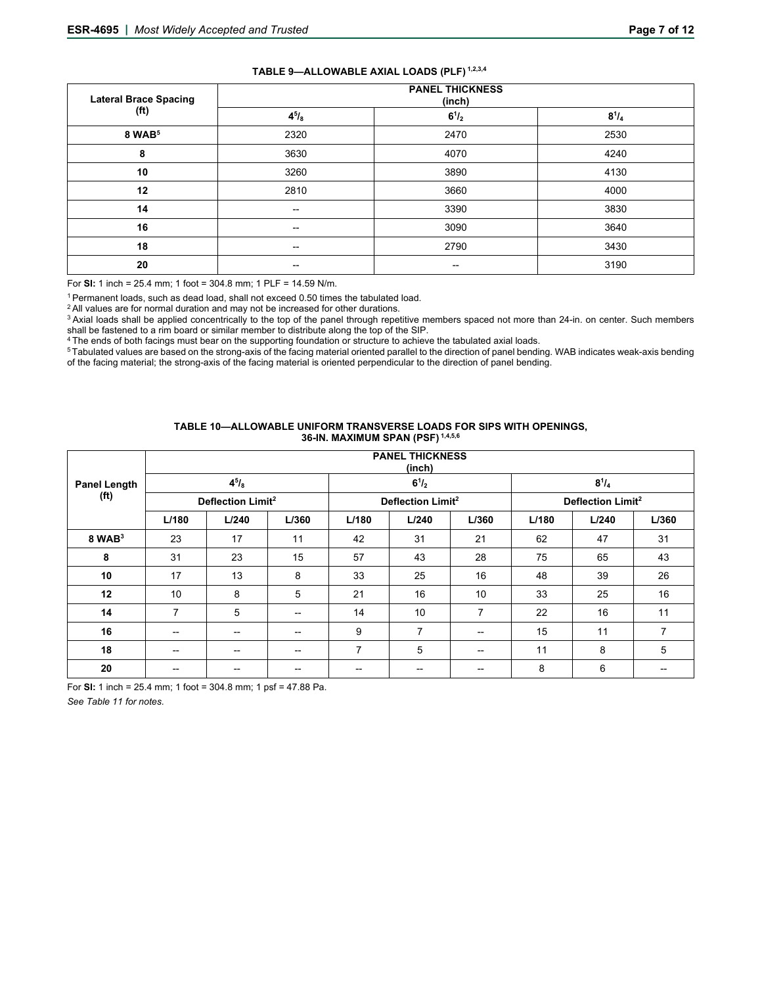| TABLE 9-ALLOWABLE AXIAL LOADS (PLF) 1,2,3,4 |  |  |
|---------------------------------------------|--|--|
|---------------------------------------------|--|--|

| <b>Lateral Brace Spacing</b> | <b>PANEL THICKNESS</b><br>(inch) |           |              |  |  |  |  |  |
|------------------------------|----------------------------------|-----------|--------------|--|--|--|--|--|
| (f <sup>t</sup> )            | $4^{5}/_{8}$                     | $6^{1/2}$ | $8^{1}/_{4}$ |  |  |  |  |  |
| 8 WAB <sup>5</sup>           | 2320                             | 2470      | 2530         |  |  |  |  |  |
| 8                            | 3630                             | 4070      | 4240         |  |  |  |  |  |
| 10                           | 3260                             | 3890      | 4130         |  |  |  |  |  |
| 12                           | 2810                             | 3660      | 4000         |  |  |  |  |  |
| 14                           | $- -$                            | 3390      | 3830         |  |  |  |  |  |
| 16                           | $\hspace{0.05cm} \cdots$         | 3090      | 3640         |  |  |  |  |  |
| 18                           | $- -$                            | 2790      | 3430         |  |  |  |  |  |
| 20                           | --                               | --        | 3190         |  |  |  |  |  |

For **SI:** 1 inch = 25.4 mm; 1 foot = 304.8 mm; 1 PLF = 14.59 N/m.

<sup>1</sup> Permanent loads, such as dead load, shall not exceed 0.50 times the tabulated load.<br><sup>2</sup> All values are for normal duration and may not be increased for other durations.<br><sup>3</sup> Axial loads shall be applied concentrically t

shall be fastened to a rim board or similar member to distribute along the top of the SIP.<br><sup>4</sup> The ends of both facings must bear on the supporting foundation or structure to achieve the tabulated axial loads.<br><sup>5</sup> Tabulate

of the facing material; the strong-axis of the facing material is oriented perpendicular to the direction of panel bending.

#### **TABLE 10—ALLOWABLE UNIFORM TRANSVERSE LOADS FOR SIPS WITH OPENINGS, 36-IN. MAXIMUM SPAN (PSF) 1,4,5,6**

|                                          | <b>PANEL THICKNESS</b><br>(inch) |              |                                       |                |                               |                          |       |              |       |
|------------------------------------------|----------------------------------|--------------|---------------------------------------|----------------|-------------------------------|--------------------------|-------|--------------|-------|
| <b>Panel Length</b><br>(f <sup>t</sup> ) |                                  | $4^{5}/_{8}$ |                                       |                | $6^{1}/_{2}$                  |                          |       | $8^{1}/_{4}$ |       |
|                                          | Deflection Limit <sup>2</sup>    |              | Deflection Limit <sup>2</sup>         |                | Deflection Limit <sup>2</sup> |                          |       |              |       |
|                                          | L/180                            | L/240        | L/360                                 | L/180          | L/240                         | L/360                    | L/180 | L/240        | L/360 |
| $8$ WAB $3$                              | 23                               | 17           | 11                                    | 42             | 31                            | 21                       | 62    | 47           | 31    |
| 8                                        | 31                               | 23           | 15                                    | 57             | 43                            | 28                       | 75    | 65           | 43    |
| 10                                       | 17                               | 13           | 8                                     | 33             | 25                            | 16                       | 48    | 39           | 26    |
| 12                                       | 10                               | 8            | 5                                     | 21             | 16                            | 10                       | 33    | 25           | 16    |
| 14                                       | 7                                | 5            | $\hspace{0.05cm}$ – $\hspace{0.05cm}$ | 14             | 10                            | 7                        | 22    | 16           | 11    |
| 16                                       | --                               | --           | $\overline{\phantom{a}}$              | 9              | 7                             | $\overline{\phantom{a}}$ | 15    | 11           | 7     |
| 18                                       | --                               | --           | $\hspace{0.05cm}$ – $\hspace{0.05cm}$ | $\overline{7}$ | 5                             | $\hspace{0.05cm}$        | 11    | 8            | 5     |
| 20                                       |                                  | --           | --                                    | --             | --                            | --                       | 8     | 6            | --    |

For **SI:** 1 inch = 25.4 mm; 1 foot = 304.8 mm; 1 psf = 47.88 Pa.

*See Table 11 for notes.*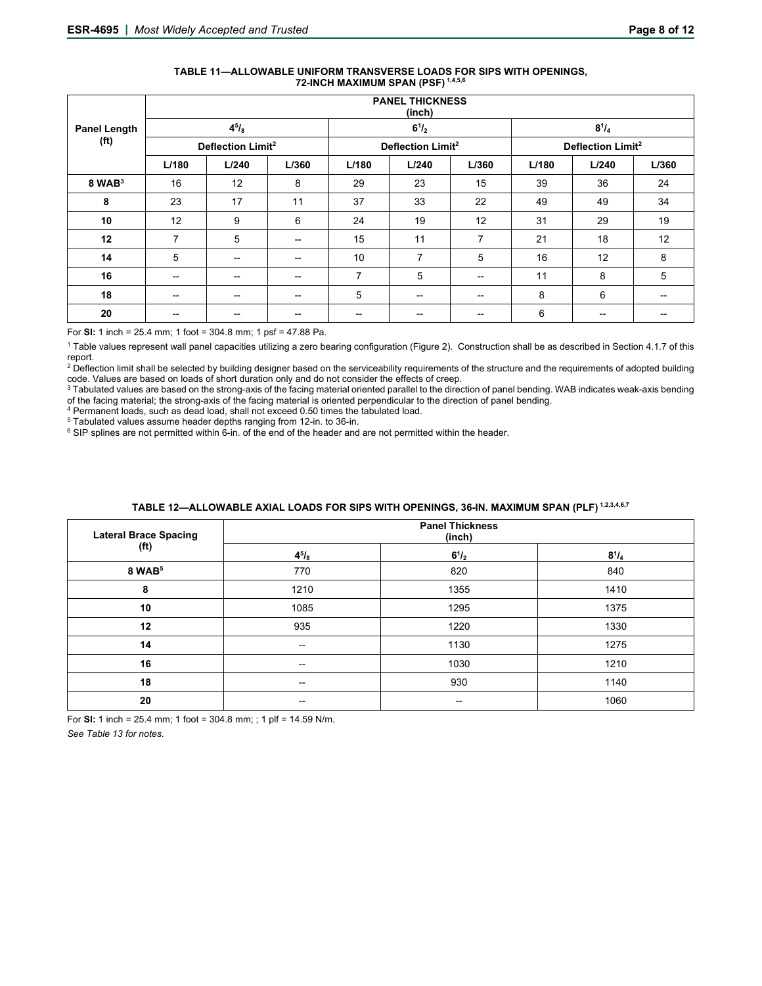| TABLE 11—ALLOWABLE UNIFORM TRANSVERSE LOADS FOR SIPS WITH OPENINGS. |
|---------------------------------------------------------------------|
| 72-INCH MAXIMUM SPAN (PSF) 1,4,5,6                                  |

|                     | <b>PANEL THICKNESS</b><br>(inch) |            |                                       |                          |                               |                   |       |                          |       |
|---------------------|----------------------------------|------------|---------------------------------------|--------------------------|-------------------------------|-------------------|-------|--------------------------|-------|
| <b>Panel Length</b> |                                  | $4^{5}/_8$ |                                       |                          | $6^{1}/_{2}$                  |                   |       | $8^{1}/_{4}$             |       |
| (f <sup>t</sup> )   | Deflection Limit <sup>2</sup>    |            | Deflection Limit <sup>2</sup>         |                          | Deflection Limit <sup>2</sup> |                   |       |                          |       |
|                     | L/180                            | L/240      | L/360                                 | L/180                    | L/240                         | L/360             | L/180 | L/240                    | L/360 |
| $8$ WAB $3$         | 16                               | 12         | 8                                     | 29                       | 23                            | 15                | 39    | 36                       | 24    |
| 8                   | 23                               | 17         | 11                                    | 37                       | 33                            | 22                | 49    | 49                       | 34    |
| 10                  | 12                               | 9          | 6                                     | 24                       | 19                            | 12                | 31    | 29                       | 19    |
| 12                  | 7                                | 5          | $\overline{\phantom{a}}$              | 15                       | 11                            | 7                 | 21    | 18                       | 12    |
| 14                  | 5                                | $- -$      | $\hspace{0.05cm}$ – $\hspace{0.05cm}$ | 10                       | 7                             | 5                 | 16    | 12                       | 8     |
| 16                  | --                               | --         | $\hspace{0.05cm}$ – $\hspace{0.05cm}$ | 7                        | 5                             | $\hspace{0.05cm}$ | 11    | 8                        | 5     |
| 18                  | $-$                              | $- -$      | $-$                                   | 5                        | $- -$                         | $- -$             | 8     | 6                        | --    |
| 20                  | --                               | $- -$      | $\hspace{0.05cm}$                     | $\overline{\phantom{a}}$ | --                            | $\hspace{0.05cm}$ | 6     | $\overline{\phantom{a}}$ | --    |

For **SI:** 1 inch = 25.4 mm; 1 foot = 304.8 mm; 1 psf = 47.88 Pa.

<sup>1</sup> Table values represent wall panel capacities utilizing a zero bearing configuration (Figure 2). Construction shall be as described in Section 4.1.7 of this report.

<sup>2</sup> Deflection limit shall be selected by building designer based on the serviceability requirements of the structure and the requirements of adopted building<br>code. Values are based on loads of short duration only and do n

3 Tabulated values are based on the strong-axis of the facing material oriented parallel to the direction of panel bending. WAB indicates weak-axis bending % of the facing material; the strong-axis of the facing material is oriented perpendicular to the direction of panel bending.<br>  $^4$  Permanent loads, such as dead load, shall not exceed 0.50 times the tabulated load.<br>  $^5$ 

| <b>Lateral Brace Spacing</b> | <b>Panel Thickness</b><br>(inch) |                     |              |  |  |
|------------------------------|----------------------------------|---------------------|--------------|--|--|
| (f <sup>t</sup> )            | $4^{5}/_{8}$                     | $6^{1}/_{2}$        | $8^{1}/_{4}$ |  |  |
| 8 WAB <sup>5</sup>           | 770                              | 820                 | 840          |  |  |
| 8                            | 1210                             | 1355                | 1410         |  |  |
| 10                           | 1085                             | 1295                | 1375         |  |  |
| 12                           | 935                              | 1220                | 1330         |  |  |
| 14                           | $\hspace{0.05cm}$                | 1130                | 1275         |  |  |
| 16                           | $\hspace{0.05cm}$                | 1030                | 1210         |  |  |
| 18                           | $\hspace{0.05cm}$                | 930                 | 1140         |  |  |
| 20                           | $\hspace{0.05cm}$ –              | $\hspace{0.05cm}$ – | 1060         |  |  |

# TABLE 12-ALLOWABLE AXIAL LOADS FOR SIPS WITH OPENINGS, 36-IN. MAXIMUM SPAN (PLF)<sup>1,2,3,4,6,7</sup>

For **SI:** 1 inch = 25.4 mm; 1 foot = 304.8 mm; ; 1 plf = 14.59 N/m.

*See Table 13 for notes.*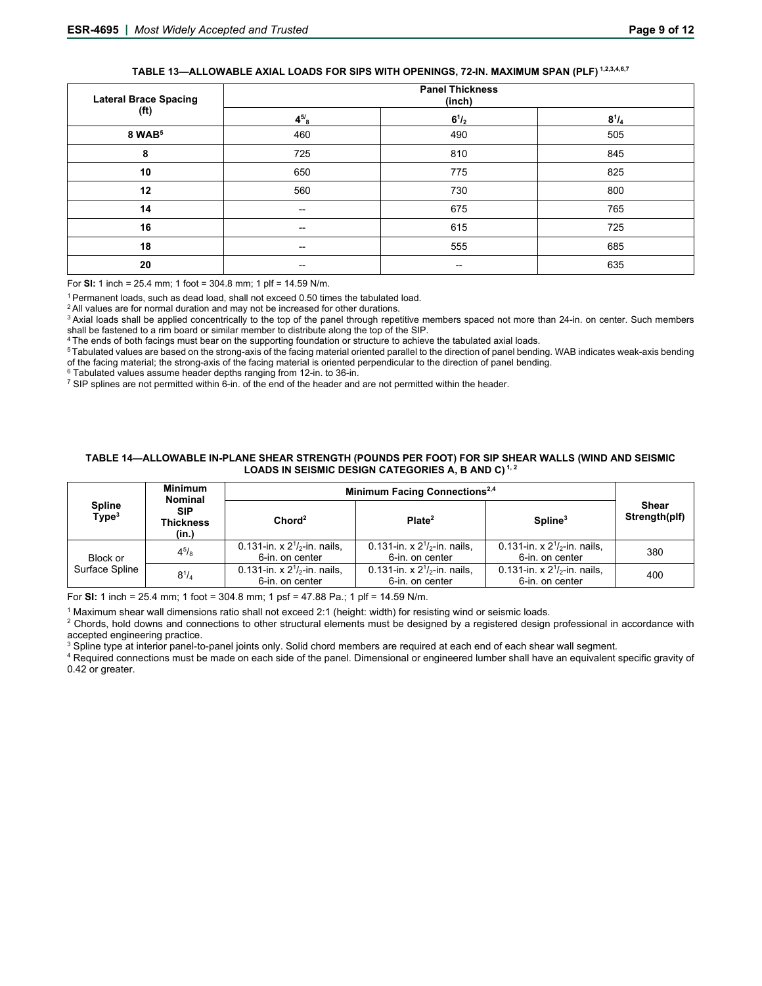# **TABLE 13—ALLOWABLE AXIAL LOADS FOR SIPS WITH OPENINGS, 72-IN. MAXIMUM SPAN (PLF) 1,2,3,4,6,7**

| <b>Lateral Brace Spacing</b> | <b>Panel Thickness</b><br>(inch) |                          |              |  |
|------------------------------|----------------------------------|--------------------------|--------------|--|
| (f <sup>t</sup> )            | $4^{5/8}$                        | $6^{1}/_{2}$             | $8^{1}/_{4}$ |  |
| 8 WAB <sup>5</sup>           | 460                              | 490                      | 505          |  |
| 8                            | 725                              | 810                      | 845          |  |
| 10                           | 650                              | 775                      | 825          |  |
| 12                           | 560                              | 730                      | 800          |  |
| 14                           | --                               | 675                      | 765          |  |
| 16                           | --                               | 615                      | 725          |  |
| 18                           | $\hspace{0.05cm}$                | 555                      | 685          |  |
| 20                           | --                               | $\overline{\phantom{a}}$ | 635          |  |

For **SI:** 1 inch = 25.4 mm; 1 foot = 304.8 mm; 1 plf = 14.59 N/m.

<sup>1</sup> Permanent loads, such as dead load, shall not exceed 0.50 times the tabulated load.<br><sup>2</sup> All values are for normal duration and may not be increased for other durations.<br><sup>3</sup> Axial loads shall be applied concentrically t

shall be fastened to a rim board or similar member to distribute along the top of the SIP.<br><sup>4</sup> The ends of both facings must bear on the supporting foundation or structure to achieve the tabulated axial loads.<br><sup>5</sup> Tabulate of the facing material; the strong-axis of the facing material is oriented perpendicular to the direction of panel bending.<br>  $\frac{6}{10}$  Tabulated values assume header depths ranging from 12-in. to 36-in.<br>
TSIP splines are

#### **TABLE 14—ALLOWABLE IN-PLANE SHEAR STRENGTH (POUNDS PER FOOT) FOR SIP SHEAR WALLS (WIND AND SEISMIC**  LOADS IN SEISMIC DESIGN CATEGORIES A, B AND C)<sup>1,2</sup>

|                                                                               | <b>Minimum</b><br><b>Nominal</b> | Minimum Facing Connections <sup>2,4</sup>            |                                                      |                                                      |                        |  |
|-------------------------------------------------------------------------------|----------------------------------|------------------------------------------------------|------------------------------------------------------|------------------------------------------------------|------------------------|--|
| <b>Spline</b><br><b>SIP</b><br>Type <sup>3</sup><br><b>Thickness</b><br>(in.) |                                  | Chord <sup>2</sup>                                   | Plate <sup>2</sup>                                   | Spline <sup>3</sup>                                  | Shear<br>Strength(plf) |  |
| Block or                                                                      | $4^{5}/_{8}$                     | 0.131-in. x $2^{1}/2$ -in. nails.<br>6-in. on center | 0.131-in. x $2^{1}/2$ -in. nails.<br>6-in. on center | 0.131-in. x $2^{1}/2$ -in. nails.<br>6-in. on center | 380                    |  |
| Surface Spline                                                                | $8^{1}/_{4}$                     | 0.131-in. x $2^{1/2}$ -in. nails.<br>6-in. on center | 0.131-in. x $2^{1/2}$ -in. nails.<br>6-in. on center | 0.131-in. x $2^{1/2}$ -in. nails.<br>6-in. on center | 400                    |  |

For **SI:** 1 inch = 25.4 mm; 1 foot = 304.8 mm; 1 psf = 47.88 Pa.; 1 plf = 14.59 N/m.

<sup>1</sup> Maximum shear wall dimensions ratio shall not exceed 2:1 (height: width) for resisting wind or seismic loads.

<sup>1</sup> Maximum shear wall dimensions ratio shall not exceed 2:1 (height: width) for resisting wind or seismic loads.<br><sup>2</sup> Chords, hold downs and connections to other structural elements must be designed by a registered design accepted engineering practice.

 $\rm ^3$  Spline type at interior panel-to-panel joints only. Solid chord members are required at each end of each shear wall segment.

<sup>4</sup> Required connections must be made on each side of the panel. Dimensional or engineered lumber shall have an equivalent specific gravity of 0.42 or greater.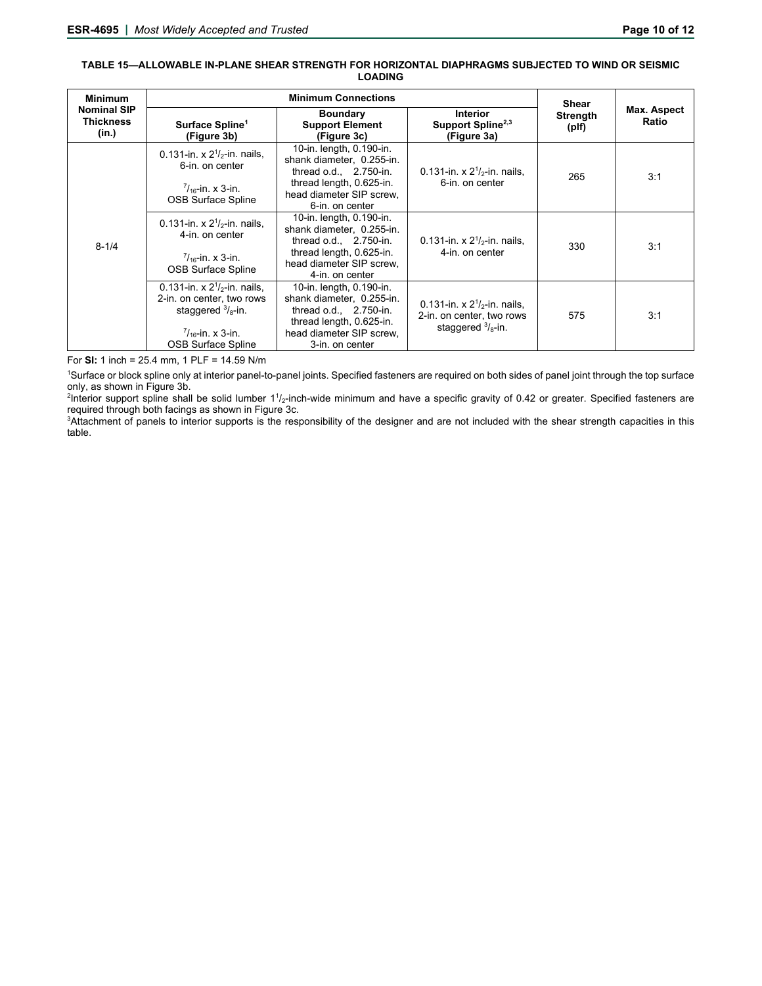#### **TABLE 15—ALLOWABLE IN-PLANE SHEAR STRENGTH FOR HORIZONTAL DIAPHRAGMS SUBJECTED TO WIND OR SEISMIC LOADING**

| <b>Minimum</b>                                  |                                                                                                                                                            | <b>Shear</b>                                                                                                                                                  |                                                                                                   |                          |                      |
|-------------------------------------------------|------------------------------------------------------------------------------------------------------------------------------------------------------------|---------------------------------------------------------------------------------------------------------------------------------------------------------------|---------------------------------------------------------------------------------------------------|--------------------------|----------------------|
| <b>Nominal SIP</b><br><b>Thickness</b><br>(in.) | Surface Spline <sup>1</sup><br>(Figure 3b)                                                                                                                 | <b>Boundary</b><br><b>Support Element</b><br>(Figure 3c)                                                                                                      | <b>Interior</b><br>Support Spline <sup>2,3</sup><br>(Figure 3a)                                   | <b>Strength</b><br>(plf) | Max. Aspect<br>Ratio |
| $8 - 1/4$                                       | 0.131-in. x $2^{1}/2$ -in. nails,<br>6-in. on center<br>$\frac{7}{16}$ -in. x 3-in.<br><b>OSB Surface Spline</b>                                           | 10-in. length, 0.190-in.<br>shank diameter, 0.255-in.<br>thread $o.d., 2.750-in.$<br>thread length, 0.625-in.<br>head diameter SIP screw.<br>6-in. on center  | 0.131-in. x $2^{1}/2$ -in. nails,<br>6-in. on center                                              | 265                      | 3:1                  |
|                                                 | 0.131-in. x $2^{1}/2$ -in. nails.<br>4-in, on center<br>$\frac{7}{16}$ -in. x 3-in.<br><b>OSB Surface Spline</b>                                           | 10-in. length, 0.190-in.<br>shank diameter, 0.255-in.<br>thread o.d., $2.750$ -in.<br>thread length, 0.625-in.<br>head diameter SIP screw,<br>4-in, on center | 0.131-in. x $2^{1}/2$ -in. nails,<br>4-in. on center                                              | 330                      | 3:1                  |
|                                                 | 0.131-in. x $2^{1}/2$ -in. nails,<br>2-in. on center, two rows<br>staggered $\frac{3}{8}$ -in.<br>$\frac{7}{16}$ -in. x 3-in.<br><b>OSB Surface Spline</b> | 10-in. length, 0.190-in.<br>shank diameter, 0.255-in.<br>thread $o.d., 2.750-in.$<br>thread length, 0.625-in.<br>head diameter SIP screw,<br>3-in, on center  | 0.131-in. x $2^{1}/_{2}$ -in. nails,<br>2-in. on center, two rows<br>staggered $\frac{3}{8}$ -in. | 575                      | 3:1                  |

For **SI:** 1 inch = 25.4 mm, 1 PLF = 14.59 N/m

1 Surface or block spline only at interior panel-to-panel joints. Specified fasteners are required on both sides of panel joint through the top surface only, as shown in Figure 3b.

<sup>2</sup>Interior support spline shall be solid lumber 11/<sub>2</sub>-inch-wide minimum and have a specific gravity of 0.42 or greater. Specified fasteners are required through both facings as shown in Figure 3c.

3 Attachment of panels to interior supports is the responsibility of the designer and are not included with the shear strength capacities in this table.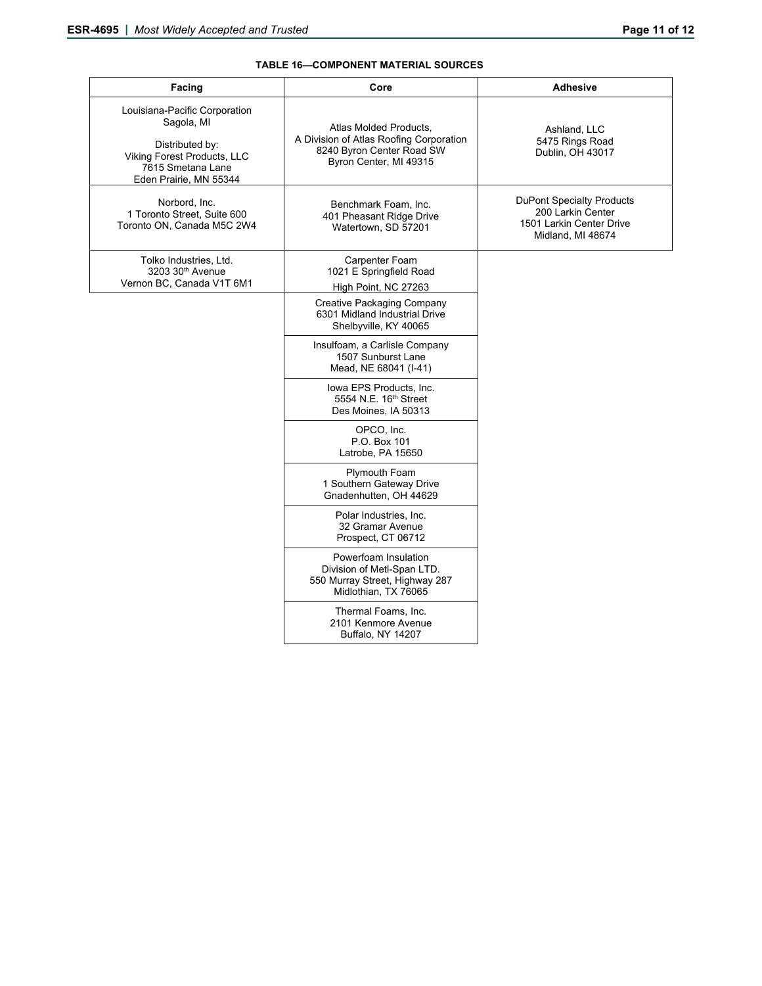# **TABLE 16—COMPONENT MATERIAL SOURCES**

| Facing                                                                                                                                       | Core                                                                                                                     | <b>Adhesive</b>                                                                                        |  |  |
|----------------------------------------------------------------------------------------------------------------------------------------------|--------------------------------------------------------------------------------------------------------------------------|--------------------------------------------------------------------------------------------------------|--|--|
| Louisiana-Pacific Corporation<br>Sagola, MI<br>Distributed by:<br>Viking Forest Products, LLC<br>7615 Smetana Lane<br>Eden Prairie, MN 55344 | Atlas Molded Products,<br>A Division of Atlas Roofing Corporation<br>8240 Byron Center Road SW<br>Byron Center, MI 49315 | Ashland, LLC<br>5475 Rings Road<br>Dublin, OH 43017                                                    |  |  |
| Norbord, Inc.<br>1 Toronto Street. Suite 600<br>Toronto ON, Canada M5C 2W4                                                                   | Benchmark Foam, Inc.<br>401 Pheasant Ridge Drive<br>Watertown, SD 57201                                                  | <b>DuPont Specialty Products</b><br>200 Larkin Center<br>1501 Larkin Center Drive<br>Midland, MI 48674 |  |  |
| Tolko Industries, Ltd.<br>3203 30 <sup>th</sup> Avenue<br>Vernon BC, Canada V1T 6M1                                                          | Carpenter Foam<br>1021 E Springfield Road<br>High Point, NC 27263                                                        |                                                                                                        |  |  |
|                                                                                                                                              | Creative Packaging Company<br>6301 Midland Industrial Drive<br>Shelbyville, KY 40065                                     |                                                                                                        |  |  |
|                                                                                                                                              | Insulfoam, a Carlisle Company<br>1507 Sunburst Lane<br>Mead, NE 68041 (I-41)                                             |                                                                                                        |  |  |
|                                                                                                                                              | lowa EPS Products, Inc.<br>5554 N.E. 16th Street<br>Des Moines, IA 50313                                                 |                                                                                                        |  |  |
|                                                                                                                                              | OPCO, Inc.<br>P.O. Box 101<br>Latrobe, PA 15650                                                                          |                                                                                                        |  |  |
|                                                                                                                                              | Plymouth Foam<br>1 Southern Gateway Drive<br>Gnadenhutten, OH 44629                                                      |                                                                                                        |  |  |
|                                                                                                                                              | Polar Industries, Inc.<br>32 Gramar Avenue<br>Prospect, CT 06712                                                         |                                                                                                        |  |  |
|                                                                                                                                              | Powerfoam Insulation<br>Division of Metl-Span LTD.<br>550 Murray Street, Highway 287<br>Midlothian, TX 76065             |                                                                                                        |  |  |
|                                                                                                                                              | Thermal Foams, Inc.<br>2101 Kenmore Avenue<br>Buffalo, NY 14207                                                          |                                                                                                        |  |  |